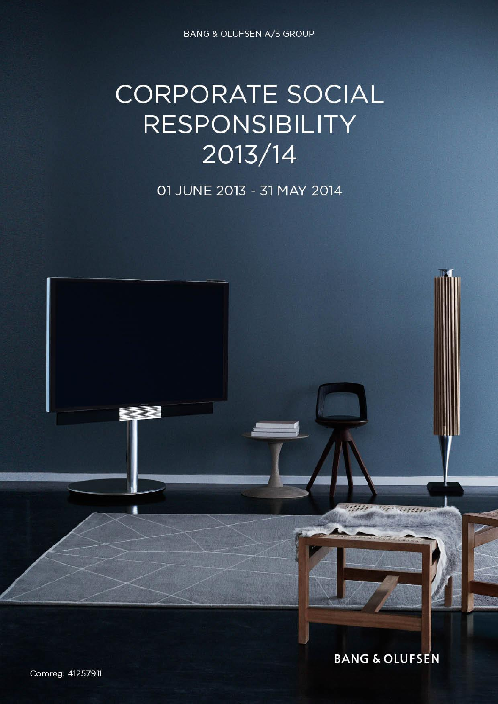# **CORPORATE SOCIAL RESPONSIBILITY** 2013/14

01 JUNE 2013 - 31 MAY 2014

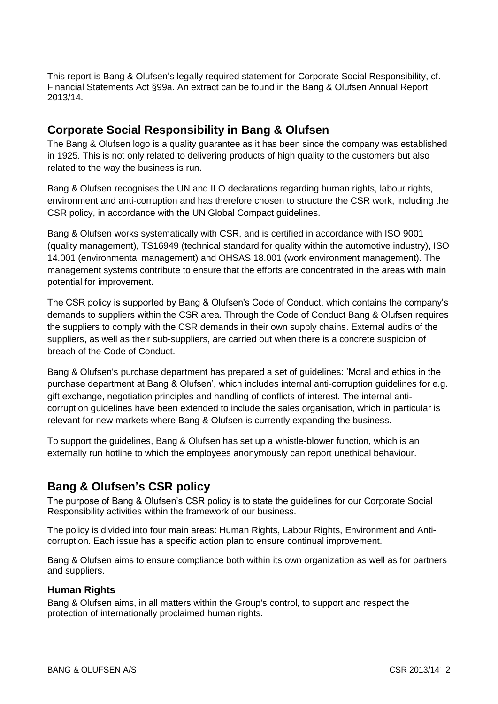This report is Bang & Olufsen's legally required statement for Corporate Social Responsibility, cf. Financial Statements Act §99a. An extract can be found in the Bang & Olufsen Annual Report 2013/14.

# **Corporate Social Responsibility in Bang & Olufsen**

The Bang & Olufsen logo is a quality guarantee as it has been since the company was established in 1925. This is not only related to delivering products of high quality to the customers but also related to the way the business is run.

Bang & Olufsen recognises the UN and ILO declarations regarding human rights, labour rights, environment and anti-corruption and has therefore chosen to structure the CSR work, including the CSR policy, in accordance with the UN Global Compact guidelines.

Bang & Olufsen works systematically with CSR, and is certified in accordance with ISO 9001 (quality management), TS16949 (technical standard for quality within the automotive industry), ISO 14.001 (environmental management) and OHSAS 18.001 (work environment management). The management systems contribute to ensure that the efforts are concentrated in the areas with main potential for improvement.

The CSR policy is supported by Bang & Olufsen's Code of Conduct, which contains the company's demands to suppliers within the CSR area. Through the Code of Conduct Bang & Olufsen requires the suppliers to comply with the CSR demands in their own supply chains. External audits of the suppliers, as well as their sub-suppliers, are carried out when there is a concrete suspicion of breach of the Code of Conduct.

Bang & Olufsen's purchase department has prepared a set of guidelines: 'Moral and ethics in the purchase department at Bang & Olufsen', which includes internal anti-corruption guidelines for e.g. gift exchange, negotiation principles and handling of conflicts of interest. The internal anticorruption guidelines have been extended to include the sales organisation, which in particular is relevant for new markets where Bang & Olufsen is currently expanding the business.

To support the guidelines, Bang & Olufsen has set up a whistle-blower function, which is an externally run hotline to which the employees anonymously can report unethical behaviour.

# **Bang & Olufsen's CSR policy**

The purpose of Bang & Olufsen's CSR policy is to state the guidelines for our Corporate Social Responsibility activities within the framework of our business.

The policy is divided into four main areas: Human Rights, Labour Rights, Environment and Anticorruption. Each issue has a specific action plan to ensure continual improvement.

Bang & Olufsen aims to ensure compliance both within its own organization as well as for partners and suppliers.

#### **Human Rights**

Bang & Olufsen aims, in all matters within the Group's control, to support and respect the protection of internationally proclaimed human rights.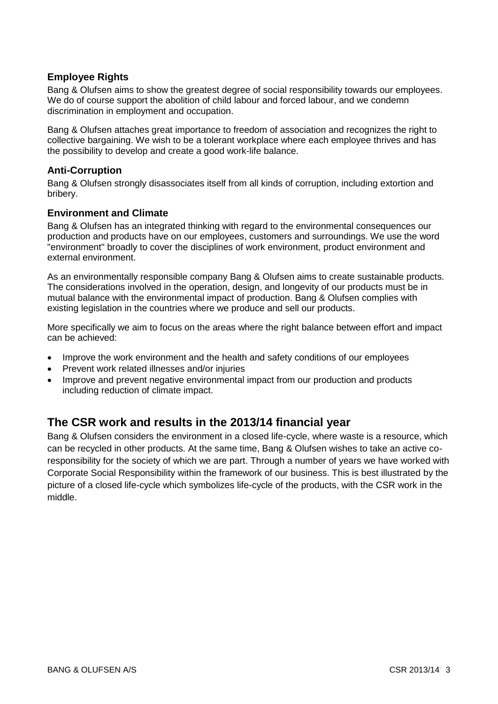#### **Employee Rights**

Bang & Olufsen aims to show the greatest degree of social responsibility towards our employees. We do of course support the abolition of child labour and forced labour, and we condemn discrimination in employment and occupation.

Bang & Olufsen attaches great importance to freedom of association and recognizes the right to collective bargaining. We wish to be a tolerant workplace where each employee thrives and has the possibility to develop and create a good work-life balance.

#### **Anti-Corruption**

Bang & Olufsen strongly disassociates itself from all kinds of corruption, including extortion and bribery.

#### **Environment and Climate**

Bang & Olufsen has an integrated thinking with regard to the environmental consequences our production and products have on our employees, customers and surroundings. We use the word "environment" broadly to cover the disciplines of work environment, product environment and external environment.

As an environmentally responsible company Bang & Olufsen aims to create sustainable products. The considerations involved in the operation, design, and longevity of our products must be in mutual balance with the environmental impact of production. Bang & Olufsen complies with existing legislation in the countries where we produce and sell our products.

More specifically we aim to focus on the areas where the right balance between effort and impact can be achieved:

- Improve the work environment and the health and safety conditions of our employees
- Prevent work related illnesses and/or injuries
- Improve and prevent negative environmental impact from our production and products including reduction of climate impact.

# **The CSR work and results in the 2013/14 financial year**

Bang & Olufsen considers the environment in a closed life-cycle, where waste is a resource, which can be recycled in other products. At the same time, Bang & Olufsen wishes to take an active coresponsibility for the society of which we are part. Through a number of years we have worked with Corporate Social Responsibility within the framework of our business. This is best illustrated by the picture of a closed life-cycle which symbolizes life-cycle of the products, with the CSR work in the middle.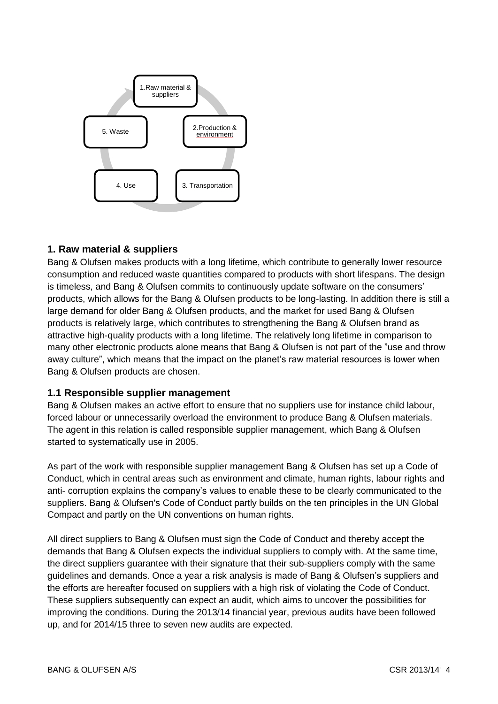

## **1. Raw material & suppliers**

Bang & Olufsen makes products with a long lifetime, which contribute to generally lower resource consumption and reduced waste quantities compared to products with short lifespans. The design is timeless, and Bang & Olufsen commits to continuously update software on the consumers' products, which allows for the Bang & Olufsen products to be long-lasting. In addition there is still a large demand for older Bang & Olufsen products, and the market for used Bang & Olufsen products is relatively large, which contributes to strengthening the Bang & Olufsen brand as attractive high-quality products with a long lifetime. The relatively long lifetime in comparison to many other electronic products alone means that Bang & Olufsen is not part of the "use and throw away culture", which means that the impact on the planet's raw material resources is lower when Bang & Olufsen products are chosen.

#### **1.1 Responsible supplier management**

Bang & Olufsen makes an active effort to ensure that no suppliers use for instance child labour, forced labour or unnecessarily overload the environment to produce Bang & Olufsen materials. The agent in this relation is called responsible supplier management, which Bang & Olufsen started to systematically use in 2005.

As part of the work with responsible supplier management Bang & Olufsen has set up a Code of Conduct, which in central areas such as environment and climate, human rights, labour rights and anti- corruption explains the company's values to enable these to be clearly communicated to the suppliers. Bang & Olufsen's Code of Conduct partly builds on the ten principles in the UN Global Compact and partly on the UN conventions on human rights.

All direct suppliers to Bang & Olufsen must sign the Code of Conduct and thereby accept the demands that Bang & Olufsen expects the individual suppliers to comply with. At the same time, the direct suppliers guarantee with their signature that their sub-suppliers comply with the same guidelines and demands. Once a year a risk analysis is made of Bang & Olufsen's suppliers and the efforts are hereafter focused on suppliers with a high risk of violating the Code of Conduct. These suppliers subsequently can expect an audit, which aims to uncover the possibilities for improving the conditions. During the 2013/14 financial year, previous audits have been followed up, and for 2014/15 three to seven new audits are expected.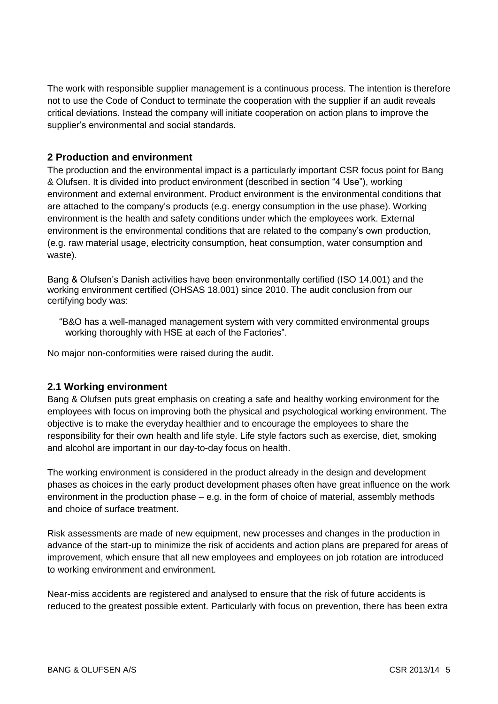The work with responsible supplier management is a continuous process. The intention is therefore not to use the Code of Conduct to terminate the cooperation with the supplier if an audit reveals critical deviations. Instead the company will initiate cooperation on action plans to improve the supplier's environmental and social standards.

#### **2 Production and environment**

The production and the environmental impact is a particularly important CSR focus point for Bang & Olufsen. It is divided into product environment (described in section "4 Use"), working environment and external environment. Product environment is the environmental conditions that are attached to the company's products (e.g. energy consumption in the use phase). Working environment is the health and safety conditions under which the employees work. External environment is the environmental conditions that are related to the company's own production, (e.g. raw material usage, electricity consumption, heat consumption, water consumption and waste).

Bang & Olufsen's Danish activities have been environmentally certified (ISO 14.001) and the working environment certified (OHSAS 18.001) since 2010. The audit conclusion from our certifying body was:

"B&O has a well-managed management system with very committed environmental groups working thoroughly with HSE at each of the Factories".

No major non-conformities were raised during the audit.

#### **2.1 Working environment**

Bang & Olufsen puts great emphasis on creating a safe and healthy working environment for the employees with focus on improving both the physical and psychological working environment. The objective is to make the everyday healthier and to encourage the employees to share the responsibility for their own health and life style. Life style factors such as exercise, diet, smoking and alcohol are important in our day-to-day focus on health.

The working environment is considered in the product already in the design and development phases as choices in the early product development phases often have great influence on the work environment in the production phase – e.g. in the form of choice of material, assembly methods and choice of surface treatment.

Risk assessments are made of new equipment, new processes and changes in the production in advance of the start-up to minimize the risk of accidents and action plans are prepared for areas of improvement, which ensure that all new employees and employees on job rotation are introduced to working environment and environment.

Near-miss accidents are registered and analysed to ensure that the risk of future accidents is reduced to the greatest possible extent. Particularly with focus on prevention, there has been extra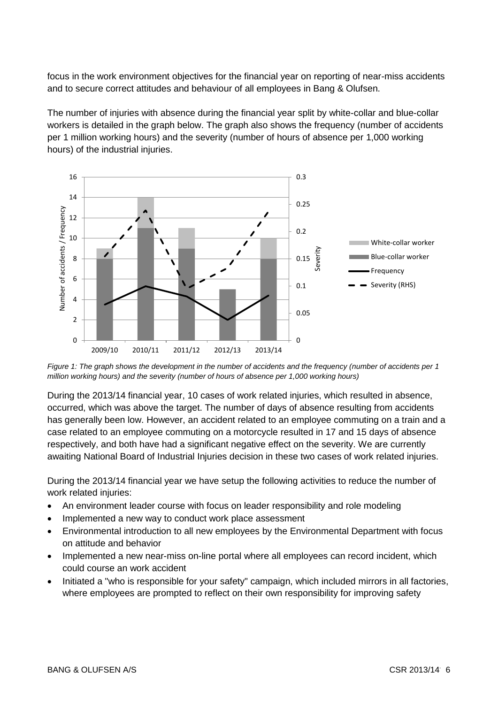focus in the work environment objectives for the financial year on reporting of near-miss accidents and to secure correct attitudes and behaviour of all employees in Bang & Olufsen.

The number of injuries with absence during the financial year split by white-collar and blue-collar workers is detailed in the graph below. The graph also shows the frequency (number of accidents per 1 million working hours) and the severity (number of hours of absence per 1,000 working hours) of the industrial injuries.



*Figure 1: The graph shows the development in the number of accidents and the frequency (number of accidents per 1 million working hours) and the severity (number of hours of absence per 1,000 working hours)*

During the 2013/14 financial year, 10 cases of work related injuries, which resulted in absence, occurred, which was above the target. The number of days of absence resulting from accidents has generally been low. However, an accident related to an employee commuting on a train and a case related to an employee commuting on a motorcycle resulted in 17 and 15 days of absence respectively, and both have had a significant negative effect on the severity. We are currently awaiting National Board of Industrial Injuries decision in these two cases of work related injuries.

During the 2013/14 financial year we have setup the following activities to reduce the number of work related injuries:

- An environment leader course with focus on leader responsibility and role modeling
- Implemented a new way to conduct work place assessment
- Environmental introduction to all new employees by the Environmental Department with focus on attitude and behavior
- Implemented a new near-miss on-line portal where all employees can record incident, which could course an work accident
- Initiated a "who is responsible for your safety" campaign, which included mirrors in all factories, where employees are prompted to reflect on their own responsibility for improving safety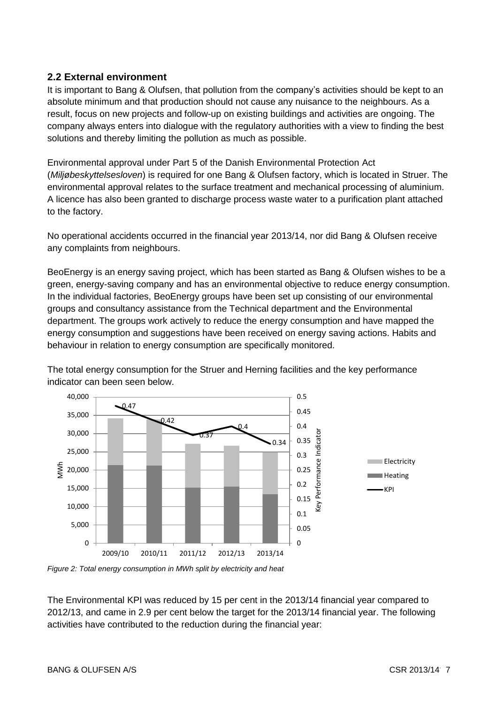#### **2.2 External environment**

It is important to Bang & Olufsen, that pollution from the company's activities should be kept to an absolute minimum and that production should not cause any nuisance to the neighbours. As a result, focus on new projects and follow-up on existing buildings and activities are ongoing. The company always enters into dialogue with the regulatory authorities with a view to finding the best solutions and thereby limiting the pollution as much as possible.

Environmental approval under Part 5 of the Danish Environmental Protection Act (*Miljøbeskyttelsesloven*) is required for one Bang & Olufsen factory, which is located in Struer. The environmental approval relates to the surface treatment and mechanical processing of aluminium. A licence has also been granted to discharge process waste water to a purification plant attached to the factory.

No operational accidents occurred in the financial year 2013/14, nor did Bang & Olufsen receive any complaints from neighbours.

BeoEnergy is an energy saving project, which has been started as Bang & Olufsen wishes to be a green, energy-saving company and has an environmental objective to reduce energy consumption. In the individual factories, BeoEnergy groups have been set up consisting of our environmental groups and consultancy assistance from the Technical department and the Environmental department. The groups work actively to reduce the energy consumption and have mapped the energy consumption and suggestions have been received on energy saving actions. Habits and behaviour in relation to energy consumption are specifically monitored.



The total energy consumption for the Struer and Herning facilities and the key performance indicator can been seen below.

*Figure 2: Total energy consumption in MWh split by electricity and heat* 

The Environmental KPI was reduced by 15 per cent in the 2013/14 financial year compared to 2012/13, and came in 2.9 per cent below the target for the 2013/14 financial year. The following activities have contributed to the reduction during the financial year: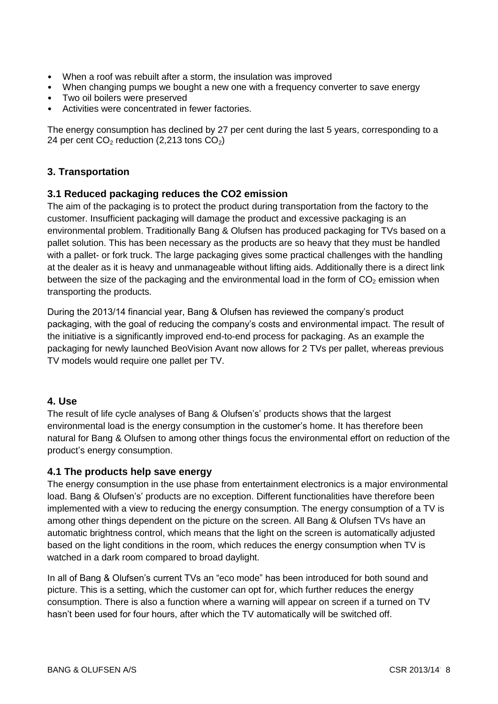- When a roof was rebuilt after a storm, the insulation was improved
- When changing pumps we bought a new one with a frequency converter to save energy
- Two oil boilers were preserved
- Activities were concentrated in fewer factories.

The energy consumption has declined by 27 per cent during the last 5 years, corresponding to a 24 per cent  $CO<sub>2</sub>$  reduction (2,213 tons  $CO<sub>2</sub>$ )

## **3. Transportation**

#### **3.1 Reduced packaging reduces the CO2 emission**

The aim of the packaging is to protect the product during transportation from the factory to the customer. Insufficient packaging will damage the product and excessive packaging is an environmental problem. Traditionally Bang & Olufsen has produced packaging for TVs based on a pallet solution. This has been necessary as the products are so heavy that they must be handled with a pallet- or fork truck. The large packaging gives some practical challenges with the handling at the dealer as it is heavy and unmanageable without lifting aids. Additionally there is a direct link between the size of the packaging and the environmental load in the form of  $CO<sub>2</sub>$  emission when transporting the products.

During the 2013/14 financial year, Bang & Olufsen has reviewed the company's product packaging, with the goal of reducing the company's costs and environmental impact. The result of the initiative is a significantly improved end-to-end process for packaging. As an example the packaging for newly launched BeoVision Avant now allows for 2 TVs per pallet, whereas previous TV models would require one pallet per TV.

#### **4. Use**

The result of life cycle analyses of Bang & Olufsen's' products shows that the largest environmental load is the energy consumption in the customer's home. It has therefore been natural for Bang & Olufsen to among other things focus the environmental effort on reduction of the product's energy consumption.

#### **4.1 The products help save energy**

The energy consumption in the use phase from entertainment electronics is a major environmental load. Bang & Olufsen's' products are no exception. Different functionalities have therefore been implemented with a view to reducing the energy consumption. The energy consumption of a TV is among other things dependent on the picture on the screen. All Bang & Olufsen TVs have an automatic brightness control, which means that the light on the screen is automatically adjusted based on the light conditions in the room, which reduces the energy consumption when TV is watched in a dark room compared to broad daylight.

In all of Bang & Olufsen's current TVs an "eco mode" has been introduced for both sound and picture. This is a setting, which the customer can opt for, which further reduces the energy consumption. There is also a function where a warning will appear on screen if a turned on TV hasn't been used for four hours, after which the TV automatically will be switched off.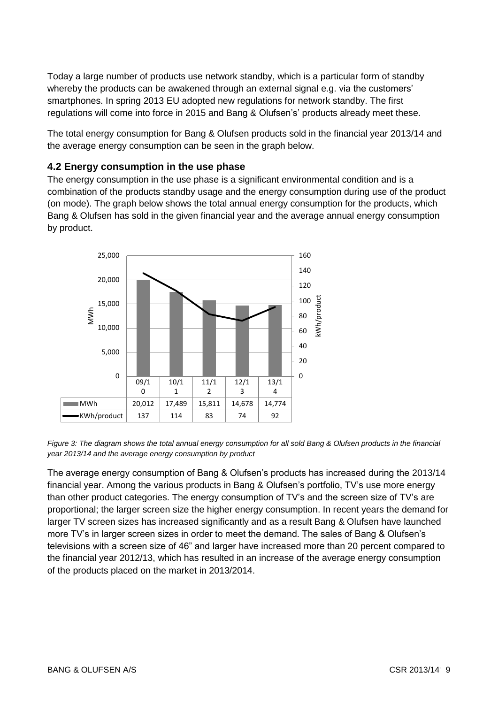Today a large number of products use network standby, which is a particular form of standby whereby the products can be awakened through an external signal e.g. via the customers' smartphones. In spring 2013 EU adopted new regulations for network standby. The first regulations will come into force in 2015 and Bang & Olufsen's' products already meet these.

The total energy consumption for Bang & Olufsen products sold in the financial year 2013/14 and the average energy consumption can be seen in the graph below.

#### **4.2 Energy consumption in the use phase**

The energy consumption in the use phase is a significant environmental condition and is a combination of the products standby usage and the energy consumption during use of the product (on mode). The graph below shows the total annual energy consumption for the products, which Bang & Olufsen has sold in the given financial year and the average annual energy consumption by product.



*Figure 3: The diagram shows the total annual energy consumption for all sold Bang & Olufsen products in the financial year 2013/14 and the average energy consumption by product*

The average energy consumption of Bang & Olufsen's products has increased during the 2013/14 financial year. Among the various products in Bang & Olufsen's portfolio, TV's use more energy than other product categories. The energy consumption of TV's and the screen size of TV's are proportional; the larger screen size the higher energy consumption. In recent years the demand for larger TV screen sizes has increased significantly and as a result Bang & Olufsen have launched more TV's in larger screen sizes in order to meet the demand. The sales of Bang & Olufsen's televisions with a screen size of 46" and larger have increased more than 20 percent compared to the financial year 2012/13, which has resulted in an increase of the average energy consumption of the products placed on the market in 2013/2014.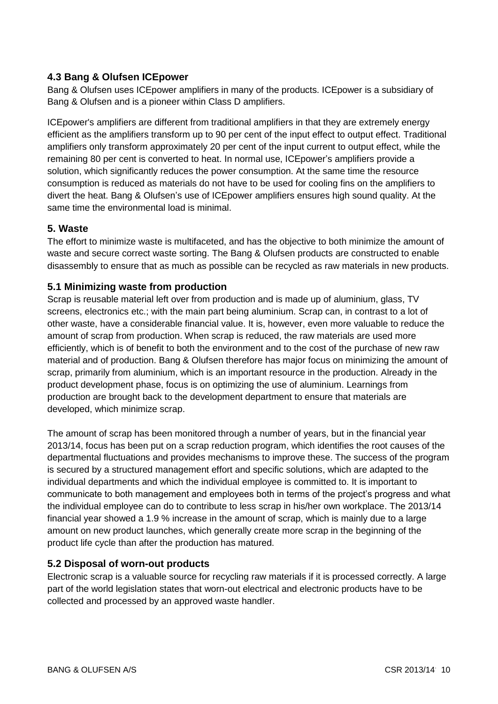## **4.3 Bang & Olufsen ICEpower**

Bang & Olufsen uses ICEpower amplifiers in many of the products. ICEpower is a subsidiary of Bang & Olufsen and is a pioneer within Class D amplifiers.

ICEpower's amplifiers are different from traditional amplifiers in that they are extremely energy efficient as the amplifiers transform up to 90 per cent of the input effect to output effect. Traditional amplifiers only transform approximately 20 per cent of the input current to output effect, while the remaining 80 per cent is converted to heat. In normal use, ICEpower's amplifiers provide a solution, which significantly reduces the power consumption. At the same time the resource consumption is reduced as materials do not have to be used for cooling fins on the amplifiers to divert the heat. Bang & Olufsen's use of ICEpower amplifiers ensures high sound quality. At the same time the environmental load is minimal.

## **5. Waste**

The effort to minimize waste is multifaceted, and has the objective to both minimize the amount of waste and secure correct waste sorting. The Bang & Olufsen products are constructed to enable disassembly to ensure that as much as possible can be recycled as raw materials in new products.

#### **5.1 Minimizing waste from production**

Scrap is reusable material left over from production and is made up of aluminium, glass, TV screens, electronics etc.; with the main part being aluminium. Scrap can, in contrast to a lot of other waste, have a considerable financial value. It is, however, even more valuable to reduce the amount of scrap from production. When scrap is reduced, the raw materials are used more efficiently, which is of benefit to both the environment and to the cost of the purchase of new raw material and of production. Bang & Olufsen therefore has major focus on minimizing the amount of scrap, primarily from aluminium, which is an important resource in the production. Already in the product development phase, focus is on optimizing the use of aluminium. Learnings from production are brought back to the development department to ensure that materials are developed, which minimize scrap.

The amount of scrap has been monitored through a number of years, but in the financial year 2013/14, focus has been put on a scrap reduction program, which identifies the root causes of the departmental fluctuations and provides mechanisms to improve these. The success of the program is secured by a structured management effort and specific solutions, which are adapted to the individual departments and which the individual employee is committed to. It is important to communicate to both management and employees both in terms of the project's progress and what the individual employee can do to contribute to less scrap in his/her own workplace. The 2013/14 financial year showed a 1.9 % increase in the amount of scrap, which is mainly due to a large amount on new product launches, which generally create more scrap in the beginning of the product life cycle than after the production has matured.

#### **5.2 Disposal of worn-out products**

Electronic scrap is a valuable source for recycling raw materials if it is processed correctly. A large part of the world legislation states that worn-out electrical and electronic products have to be collected and processed by an approved waste handler.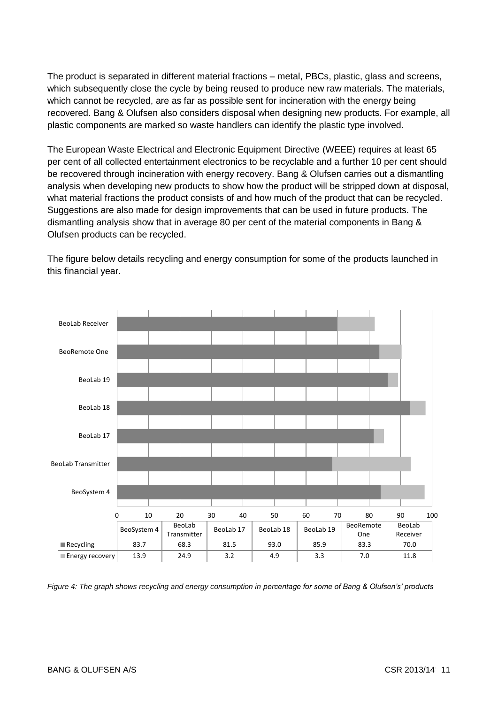The product is separated in different material fractions – metal, PBCs, plastic, glass and screens, which subsequently close the cycle by being reused to produce new raw materials. The materials, which cannot be recycled, are as far as possible sent for incineration with the energy being recovered. Bang & Olufsen also considers disposal when designing new products. For example, all plastic components are marked so waste handlers can identify the plastic type involved.

The European Waste Electrical and Electronic Equipment Directive (WEEE) requires at least 65 per cent of all collected entertainment electronics to be recyclable and a further 10 per cent should be recovered through incineration with energy recovery. Bang & Olufsen carries out a dismantling analysis when developing new products to show how the product will be stripped down at disposal, what material fractions the product consists of and how much of the product that can be recycled. Suggestions are also made for design improvements that can be used in future products. The dismantling analysis show that in average 80 per cent of the material components in Bang & Olufsen products can be recycled.



The figure below details recycling and energy consumption for some of the products launched in this financial year.

*Figure 4: The graph shows recycling and energy consumption in percentage for some of Bang & Olufsen's' products*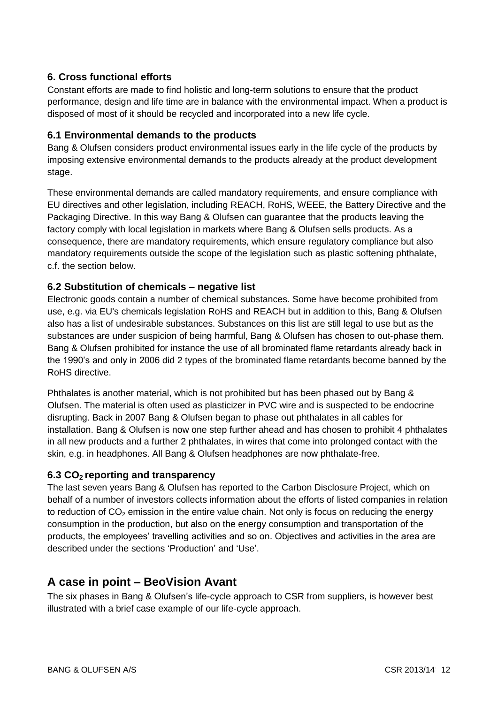## **6. Cross functional efforts**

Constant efforts are made to find holistic and long-term solutions to ensure that the product performance, design and life time are in balance with the environmental impact. When a product is disposed of most of it should be recycled and incorporated into a new life cycle.

#### **6.1 Environmental demands to the products**

Bang & Olufsen considers product environmental issues early in the life cycle of the products by imposing extensive environmental demands to the products already at the product development stage.

These environmental demands are called mandatory requirements, and ensure compliance with EU directives and other legislation, including REACH, RoHS, WEEE, the Battery Directive and the Packaging Directive. In this way Bang & Olufsen can guarantee that the products leaving the factory comply with local legislation in markets where Bang & Olufsen sells products. As a consequence, there are mandatory requirements, which ensure regulatory compliance but also mandatory requirements outside the scope of the legislation such as plastic softening phthalate, c.f. the section below.

#### **6.2 Substitution of chemicals – negative list**

Electronic goods contain a number of chemical substances. Some have become prohibited from use, e.g. via EU's chemicals legislation RoHS and REACH but in addition to this, Bang & Olufsen also has a list of undesirable substances. Substances on this list are still legal to use but as the substances are under suspicion of being harmful, Bang & Olufsen has chosen to out-phase them. Bang & Olufsen prohibited for instance the use of all brominated flame retardants already back in the 1990's and only in 2006 did 2 types of the brominated flame retardants become banned by the RoHS directive.

Phthalates is another material, which is not prohibited but has been phased out by Bang & Olufsen. The material is often used as plasticizer in PVC wire and is suspected to be endocrine disrupting. Back in 2007 Bang & Olufsen began to phase out phthalates in all cables for installation. Bang & Olufsen is now one step further ahead and has chosen to prohibit 4 phthalates in all new products and a further 2 phthalates, in wires that come into prolonged contact with the skin, e.g. in headphones. All Bang & Olufsen headphones are now phthalate-free.

#### **6.3 CO<sup>2</sup> reporting and transparency**

The last seven years Bang & Olufsen has reported to the Carbon Disclosure Project, which on behalf of a number of investors collects information about the efforts of listed companies in relation to reduction of  $CO<sub>2</sub>$  emission in the entire value chain. Not only is focus on reducing the energy consumption in the production, but also on the energy consumption and transportation of the products, the employees' travelling activities and so on. Objectives and activities in the area are described under the sections 'Production' and 'Use'.

## **A case in point – BeoVision Avant**

The six phases in Bang & Olufsen's life-cycle approach to CSR from suppliers, is however best illustrated with a brief case example of our life-cycle approach.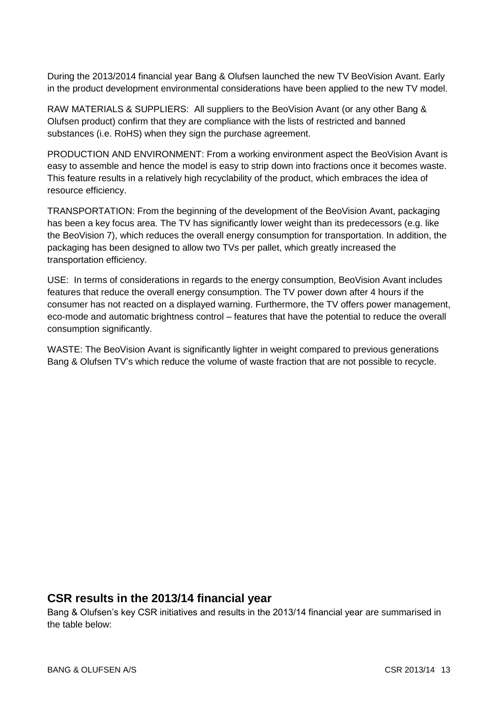During the 2013/2014 financial year Bang & Olufsen launched the new TV BeoVision Avant. Early in the product development environmental considerations have been applied to the new TV model.

RAW MATERIALS & SUPPLIERS: All suppliers to the BeoVision Avant (or any other Bang & Olufsen product) confirm that they are compliance with the lists of restricted and banned substances (i.e. RoHS) when they sign the purchase agreement.

PRODUCTION AND ENVIRONMENT: From a working environment aspect the BeoVision Avant is easy to assemble and hence the model is easy to strip down into fractions once it becomes waste. This feature results in a relatively high recyclability of the product, which embraces the idea of resource efficiency.

TRANSPORTATION: From the beginning of the development of the BeoVision Avant, packaging has been a key focus area. The TV has significantly lower weight than its predecessors (e.g. like the BeoVision 7), which reduces the overall energy consumption for transportation. In addition, the packaging has been designed to allow two TVs per pallet, which greatly increased the transportation efficiency.

USE: In terms of considerations in regards to the energy consumption, BeoVision Avant includes features that reduce the overall energy consumption. The TV power down after 4 hours if the consumer has not reacted on a displayed warning. Furthermore, the TV offers power management, eco-mode and automatic brightness control – features that have the potential to reduce the overall consumption significantly.

WASTE: The BeoVision Avant is significantly lighter in weight compared to previous generations Bang & Olufsen TV's which reduce the volume of waste fraction that are not possible to recycle.

# **CSR results in the 2013/14 financial year**

Bang & Olufsen's key CSR initiatives and results in the 2013/14 financial year are summarised in the table below: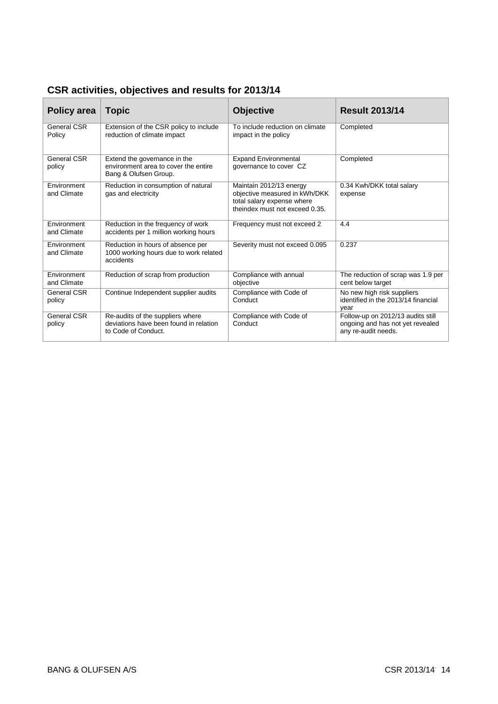|  |  | CSR activities, objectives and results for 2013/14 |
|--|--|----------------------------------------------------|
|--|--|----------------------------------------------------|

| Policy area                  | <b>Topic</b>                                                                                      | <b>Objective</b>                                                                                                         | <b>Result 2013/14</b>                                                                        |
|------------------------------|---------------------------------------------------------------------------------------------------|--------------------------------------------------------------------------------------------------------------------------|----------------------------------------------------------------------------------------------|
| General CSR<br>Policy        | Extension of the CSR policy to include<br>reduction of climate impact                             | To include reduction on climate<br>impact in the policy                                                                  | Completed                                                                                    |
| <b>General CSR</b><br>policy | Extend the governance in the<br>environment area to cover the entire<br>Bang & Olufsen Group.     | <b>Expand Environmental</b><br>governance to cover CZ                                                                    | Completed                                                                                    |
| Environment<br>and Climate   | Reduction in consumption of natural<br>gas and electricity                                        | Maintain 2012/13 energy<br>objective measured in kWh/DKK<br>total salary expense where<br>theindex must not exceed 0.35. | 0.34 Kwh/DKK total salary<br>expense                                                         |
| Environment<br>and Climate   | Reduction in the frequency of work<br>accidents per 1 million working hours                       | Frequency must not exceed 2                                                                                              | 4.4                                                                                          |
| Environment<br>and Climate   | Reduction in hours of absence per<br>1000 working hours due to work related<br>accidents          | Severity must not exceed 0.095                                                                                           | 0.237                                                                                        |
| Environment<br>and Climate   | Reduction of scrap from production                                                                | Compliance with annual<br>objective                                                                                      | The reduction of scrap was 1.9 per<br>cent below target                                      |
| General CSR<br>policy        | Continue Independent supplier audits                                                              | Compliance with Code of<br>Conduct                                                                                       | No new high risk suppliers<br>identified in the 2013/14 financial<br>vear                    |
| <b>General CSR</b><br>policy | Re-audits of the suppliers where<br>deviations have been found in relation<br>to Code of Conduct. | Compliance with Code of<br>Conduct                                                                                       | Follow-up on 2012/13 audits still<br>ongoing and has not yet revealed<br>any re-audit needs. |